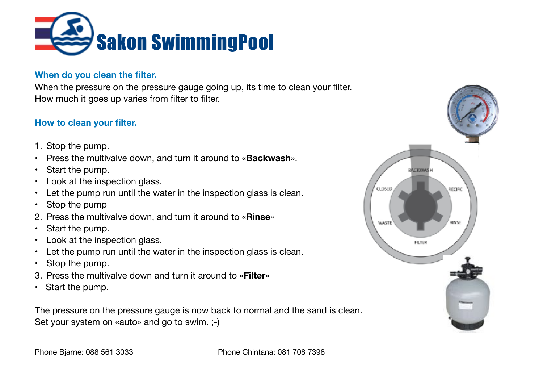

#### **When do you clean the filter.**

When the pressure on the pressure gauge going up, its time to clean your filter. How much it goes up varies from filter to filter.

### **How to clean your filter.**

- 1. Stop the pump.
- Press the multivalve down, and turn it around to «**Backwash**».
- Start the pump.
- Look at the inspection glass.
- Let the pump run until the water in the inspection glass is clean.
- Stop the pump
- 2. Press the multivalve down, and turn it around to «**Rinse**»
- Start the pump.
- Look at the inspection glass.
- Let the pump run until the water in the inspection glass is clean.
- Stop the pump.
- 3. Press the multivalve down and turn it around to «**Filter**»
- Start the pump.

The pressure on the pressure gauge is now back to normal and the sand is clean. Set your system on «auto» and go to swim. ;-)

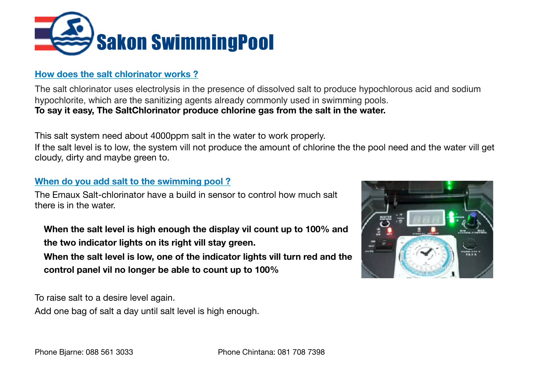

### **How does the salt chlorinator works ?**

The salt chlorinator uses electrolysis in the presence of dissolved salt to produce hypochlorous acid and sodium hypochlorite, which are the sanitizing agents already commonly used in swimming pools. **To say it easy, The SaltChlorinator produce chlorine gas from the salt in the water.** 

This salt system need about 4000ppm salt in the water to work properly.

If the salt level is to low, the system vill not produce the amount of chlorine the the pool need and the water vill get cloudy, dirty and maybe green to.

### **When do you add salt to the swimming pool ?**

The Emaux Salt-chlorinator have a build in sensor to control how much salt there is in the water.

**When the salt level is high enough the display vil count up to 100% and the two indicator lights on its right vill stay green.** 

**When the salt level is low, one of the indicator lights vill turn red and the control panel vil no longer be able to count up to 100%** 

To raise salt to a desire level again.

Add one bag of salt a day until salt level is high enough.